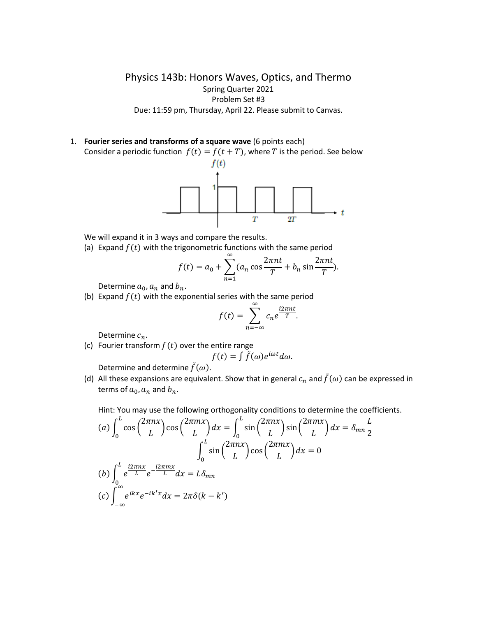Physics 143b: Honors Waves, Optics, and Thermo Spring Quarter 2021 Problem Set #3 Due: 11:59 pm, Thursday, April 22. Please submit to Canvas.

1. **Fourier series and transforms of a square wave** (6 points each)



 $\overline{T}$  $2T$ 

We will expand it in 3 ways and compare the results.

(a) Expand  $f(t)$  with the trigonometric functions with the same period

$$
f(t) = a_0 + \sum_{n=1}^{\infty} (a_n \cos \frac{2\pi nt}{T} + b_n \sin \frac{2\pi nt}{T}).
$$

 $\boldsymbol{t}$ 

Determine  $a_0$ ,  $a_n$  and  $b_n$ .

(b) Expand  $f(t)$  with the exponential series with the same period

$$
f(t) = \sum_{n=-\infty}^{\infty} c_n e^{\frac{i2\pi nt}{T}}.
$$

Determine  $c_n$ .

(c) Fourier transform  $f(t)$  over the entire range

$$
f(t) = \int \tilde{f}(\omega)e^{i\omega t} d\omega.
$$

Determine and determine  $\tilde{f}(\omega)$ .

(d) All these expansions are equivalent. Show that in general  $c_n$  and  $\tilde{f}(\omega)$  can be expressed in terms of  $a_0$ ,  $a_n$  and  $b_n$ .

Hint: You may use the following orthogonality conditions to determine the coefficients.

$$
(a) \int_0^L \cos\left(\frac{2\pi nx}{L}\right) \cos\left(\frac{2\pi mx}{L}\right) dx = \int_0^L \sin\left(\frac{2\pi nx}{L}\right) \sin\left(\frac{2\pi mx}{L}\right) dx = \delta_{mn} \frac{L}{2}
$$

$$
\int_0^L \sin\left(\frac{2\pi nx}{L}\right) \cos\left(\frac{2\pi mx}{L}\right) dx = 0
$$

$$
(b) \int_0^L e^{\frac{i2\pi nx}{L}} e^{-\frac{i2\pi mx}{L}} dx = L\delta_{mn}
$$

$$
(c) \int_{-\infty}^{\infty} e^{ikx} e^{-ik'x} dx = 2\pi \delta(k - k')
$$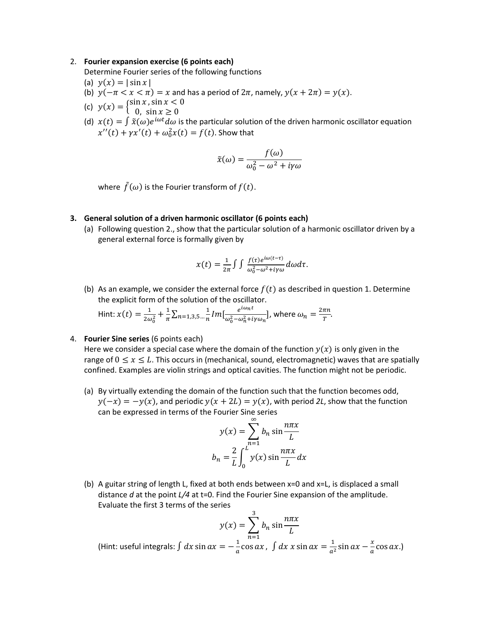## 2. **Fourier expansion exercise (6 points each)**

Determine Fourier series of the following functions

- (a)  $y(x) = |\sin x|$
- (b)  $y(-\pi < x < \pi) = x$  and has a period of  $2\pi$ , namely,  $y(x + 2\pi) = y(x)$ .
- (c)  $y(x) = \begin{cases} \sin x, \sin x < 0 \\ 0, \sin x > 0 \end{cases}$
- 0,  $\sin x \ge 0$
- (d)  $x(t) = \int \tilde{x}(\omega)e^{i\omega t}d\omega$  is the particular solution of the driven harmonic oscillator equation  $x''(t) + \gamma x'(t) + \omega_0^2 x(t) = f(t)$ . Show that

$$
\tilde{x}(\omega) = \frac{f(\omega)}{\omega_0^2 - \omega^2 + i\gamma\omega}
$$

where  $\tilde{f}(\omega)$  is the Fourier transform of  $f(t)$ .

## **3. General solution of a driven harmonic oscillator (6 points each)**

(a) Following question 2., show that the particular solution of a harmonic oscillator driven by a general external force is formally given by

$$
x(t) = \frac{1}{2\pi} \int \int \frac{f(\tau)e^{i\omega(t-\tau)}}{\omega_0^2 - \omega^2 + i\gamma \omega} d\omega d\tau.
$$

(b) As an example, we consider the external force  $f(t)$  as described in question 1. Determine the explicit form of the solution of the oscillator.

Hint: 
$$
x(t) = \frac{1}{2\omega_0^2} + \frac{1}{\pi} \sum_{n=1,3,5} \frac{1}{n} Im[\frac{e^{i\omega_n t}}{\omega_0^2 - \omega_n^2 + i\gamma \omega_n}],
$$
 where  $\omega_n = \frac{2\pi n}{T}$ .

## 4. **Fourier Sine series** (6 points each)

Here we consider a special case where the domain of the function  $y(x)$  is only given in the range of  $0 \le x \le L$ . This occurs in (mechanical, sound, electromagnetic) waves that are spatially confined. Examples are violin strings and optical cavities. The function might not be periodic.

(a) By virtually extending the domain of the function such that the function becomes odd,  $y(-x) = -y(x)$ , and periodic  $y(x + 2L) = y(x)$ , with period 2L, show that the function can be expressed in terms of the Fourier Sine series

$$
y(x) = \sum_{n=1}^{\infty} b_n \sin \frac{n\pi x}{L}
$$

$$
b_n = \frac{2}{L} \int_0^L y(x) \sin \frac{n\pi x}{L} dx
$$

(b) A guitar string of length L, fixed at both ends between x=0 and x=L, is displaced a small distance *d* at the point *L/4* at t=0. Find the Fourier Sine expansion of the amplitude. Evaluate the first 3 terms of the series

$$
y(x) = \sum_{n=1}^{3} b_n \sin \frac{n\pi x}{L}
$$

(Hint: useful integrals:  $\int dx \sin ax = -\frac{1}{a}$  $\frac{1}{a}$ cos ax,  $\int dx x \sin ax = \frac{1}{a^2}$  $\frac{1}{a^2}$ sin  $ax - \frac{x}{a}$  $\frac{\lambda}{a}$ cos ax.)